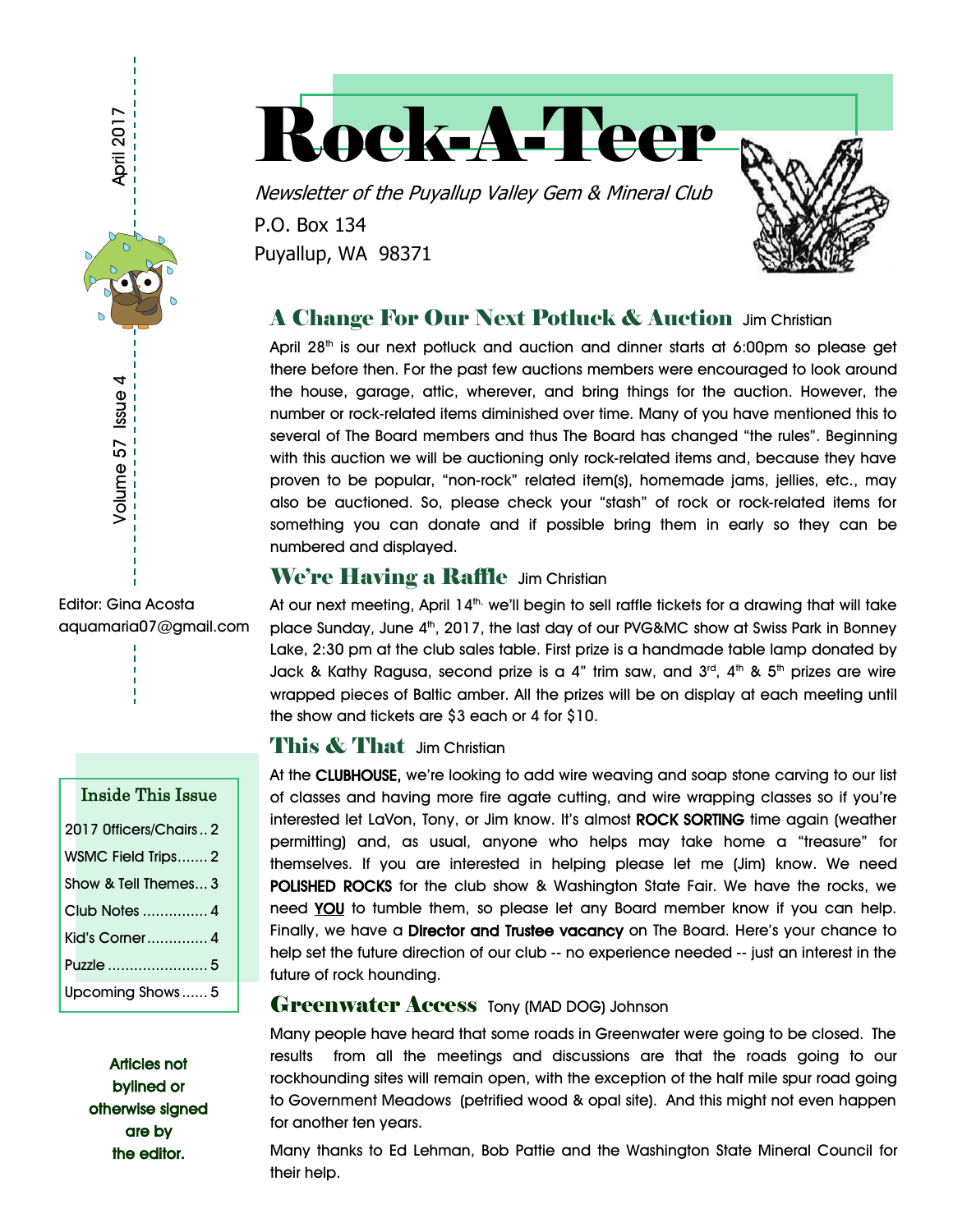



P.O. Box 134 Puyallup, WA 98371

## A Change For Our Next Potluck & Auction Jim Christian

April  $28<sup>th</sup>$  is our next potluck and auction and dinner starts at 6:00pm so please get there before then. For the past few auctions members were encouraged to look around the house, garage, attic, wherever, and bring things for the auction. However, the number or rock-related items diminished over time. Many of you have mentioned this to several of The Board members and thus The Board has changed "the rules". Beginning with this auction we will be auctioning only rock-related items and, because they have proven to be popular, "non-rock" related item(s), homemade jams, jellies, etc., may also be auctioned. So, please check your "stash" of rock or rock-related items for something you can donate and if possible bring them in early so they can be numbered and displayed.

#### We're Having a Raffle Jim Christian

At our next meeting, April  $14<sup>th</sup>$ , we'll begin to sell raffle tickets for a drawing that will take place Sunday, June  $4<sup>th</sup>$ , 2017, the last day of our PVG&MC show at Swiss Park in Bonney Lake, 2:30 pm at the club sales table. First prize is a handmade table lamp donated by Jack & Kathy Ragusa, second prize is a 4" trim saw, and 3<sup>rd</sup>, 4<sup>th</sup> & 5<sup>th</sup> prizes are wire wrapped pieces of Baltic amber. All the prizes will be on display at each meeting until the show and tickets are \$3 each or 4 for \$10.

#### This & That Jim Christian

At the CLUBHOUSE, we're looking to add wire weaving and soap stone carving to our list of classes and having more fire agate cutting, and wire wrapping classes so if you're interested let LaVon, Tony, or Jim know. It's almost ROCK SORTING time again (weather permitting) and, as usual, anyone who helps may take home a "treasure" for themselves. If you are interested in helping please let me (Jim) know. We need POLISHED ROCKS for the club show & Washington State Fair. We have the rocks, we need YOU to tumble them, so please let any Board member know if you can help. Finally, we have a Director and Trustee vacancy on The Board. Here's your chance to help set the future direction of our club -- no experience needed -- just an interest in the future of rock hounding.

#### **Greenwater Access Tony (MAD DOG) Johnson**

Many people have heard that some roads in Greenwater were going to be closed. The results from all the meetings and discussions are that the roads going to our rockhounding sites will remain open, with the exception of the half mile spur road going to Government Meadows (petrified wood & opal site). And this might not even happen for another ten years.

Many thanks to Ed Lehman, Bob Pattie and the Washington State Mineral Council for their help.

aquamaria07@gmail.com

| Inside This Issue     |
|-----------------------|
| 2017 Officers/Chairs2 |
| WSMC Field Trips 2    |
| Show & Tell Themes 3  |
|                       |
| Kid's Corner 4        |
| Puzzle  5             |
| Upcoming Shows5       |

Articles not bylined or otherwise signed are by the editor.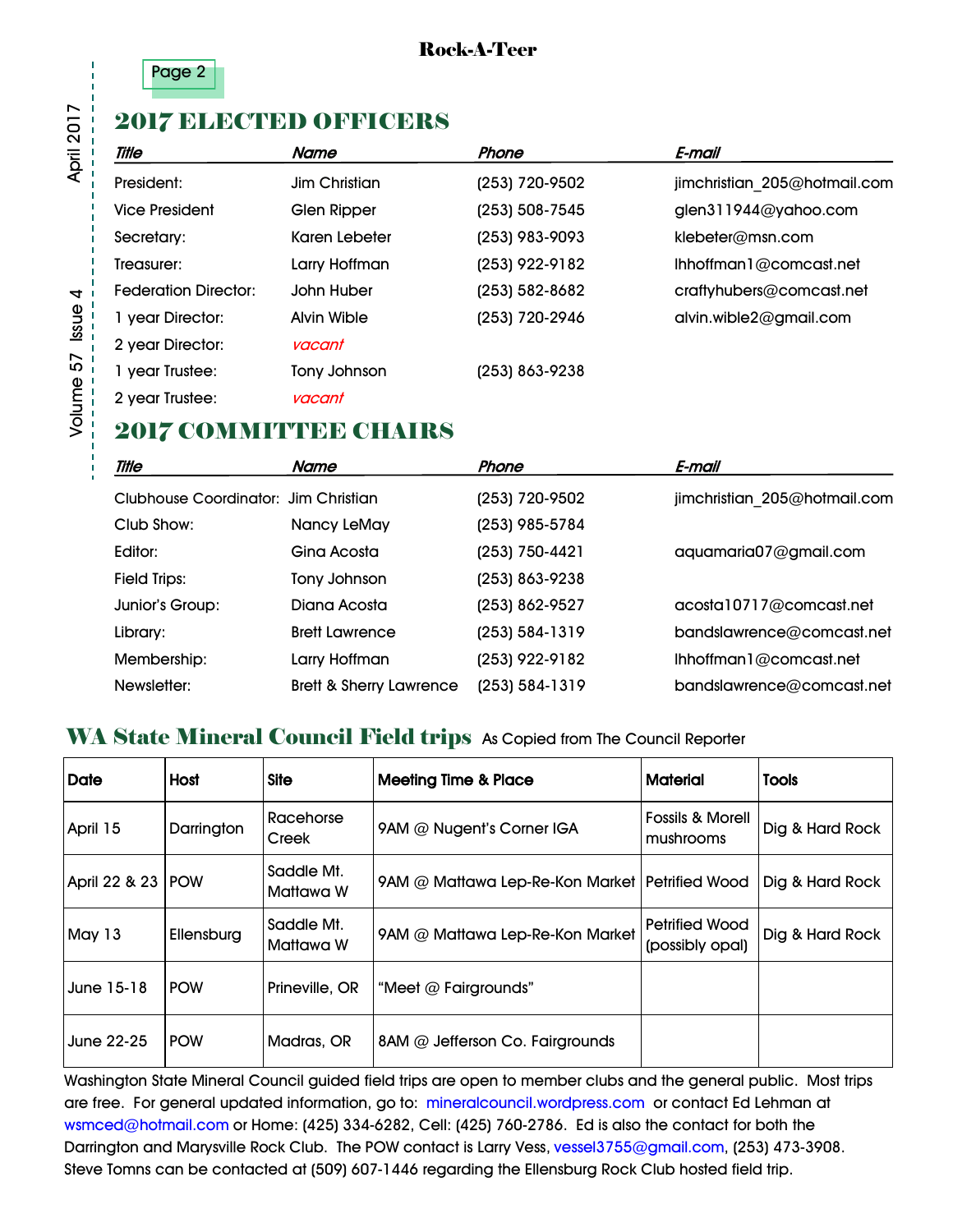

#### Rock-A-Teer

## 2017 ELECTED OFFICERS

| <b>Title</b>                | Name          | Phone          | E-mail                        |
|-----------------------------|---------------|----------------|-------------------------------|
| President:                  | Jim Christian | (253) 720-9502 | jimchristian 205@hotmail.com  |
| <b>Vice President</b>       | Glen Ripper   | (253) 508-7545 | glen311944@yahoo.com          |
| Secretary:                  | Karen Lebeter | (253) 983-9093 | klebeter@msn.com              |
| Treasurer:                  | Larry Hoffman | (253) 922-9182 | $l$ hhoffman $l$ @comcast.net |
| <b>Federation Director:</b> | John Huber    | (253) 582-8682 | craftyhubers@comcast.net      |
| 1 year Director:            | Alvin Wible   | (253) 720-2946 | alvin.wible2@gmail.com        |
| 2 year Director:            | vacant        |                |                               |
| 1 year Trustee:             | Tony Johnson  | (253) 863-9238 |                               |
| 2 year Trustee:             | vacant        |                |                               |

## 2017 COMMITTIEE CHAIRS

| <b>Title</b>                         | Name                               | Phone              | E-mail                       |
|--------------------------------------|------------------------------------|--------------------|------------------------------|
| Clubhouse Coordinator: Jim Christian |                                    | (253) 720-9502     | jimchristian 205@hotmail.com |
| Club Show:                           | Nancy LeMay                        | (253) 985-5784     |                              |
| Editor:                              | Gina Acosta                        | (253) 750-4421     | aquamaria07@gmail.com        |
| <b>Field Trips:</b>                  | Tony Johnson                       | (253) 863-9238     |                              |
| Junior's Group:                      | Diana Acosta                       | (253) 862-9527     | accotal 0717@comcast.net     |
| Library:                             | <b>Brett Lawrence</b>              | (253) 584-1319     | bandslawrence@comcast.net    |
| Membership:                          | Larry Hoffman                      | (253) 922-9182     | Ihhoffman1@comcast.net       |
| Newsletter:                          | <b>Brett &amp; Sherry Lawrence</b> | $(253) 584 - 1319$ | bandslawrence@comcast.net    |

### WA State Mineral Council Field trips As Copied from The Council Reporter

| <b>Date</b>         | Host       | <b>Site</b>                    | <b>Meeting Time &amp; Place</b>                  | <b>Material</b>                          | <b>Tools</b>    |
|---------------------|------------|--------------------------------|--------------------------------------------------|------------------------------------------|-----------------|
| April 15            | Darrington | Racehorse<br>Creek             | 9AM @ Nugent's Corner IGA                        | <b>Fossils &amp; Morell</b><br>mushrooms | Dig & Hard Rock |
| April 22 & 23   POW |            | Saddle Mt.<br>Mattawa W        | 9AM @ Mattawa Lep-Re-Kon Market   Petrified Wood |                                          | Dig & Hard Rock |
| May 13              | Ellensburg | Saddle Mt.<br><b>Mattawa W</b> | 9AM @ Mattawa Lep-Re-Kon Market                  | <b>Petrified Wood</b><br>(possibly opal) | Dig & Hard Rock |
| June 15-18          | <b>POW</b> | Prineville, OR                 | "Meet @ Fairgrounds"                             |                                          |                 |
| June 22-25          | <b>POW</b> | Madras, OR                     | 8AM @ Jefferson Co. Fairgrounds                  |                                          |                 |

Washington State Mineral Council guided field trips are open to member clubs and the general public. Most trips are free. For general updated information, go to: mineralcouncil.wordpress.com or contact Ed Lehman at wsmced@hotmail.com or Home: (425) 334-6282, Cell: (425) 760-2786. Ed is also the contact for both the Darrington and Marysville Rock Club. The POW contact is Larry Vess, vessel3755@gmail.com, (253) 473-3908. Steve Tomns can be contacted at (509) 607-1446 regarding the Ellensburg Rock Club hosted field trip.

**April 2017**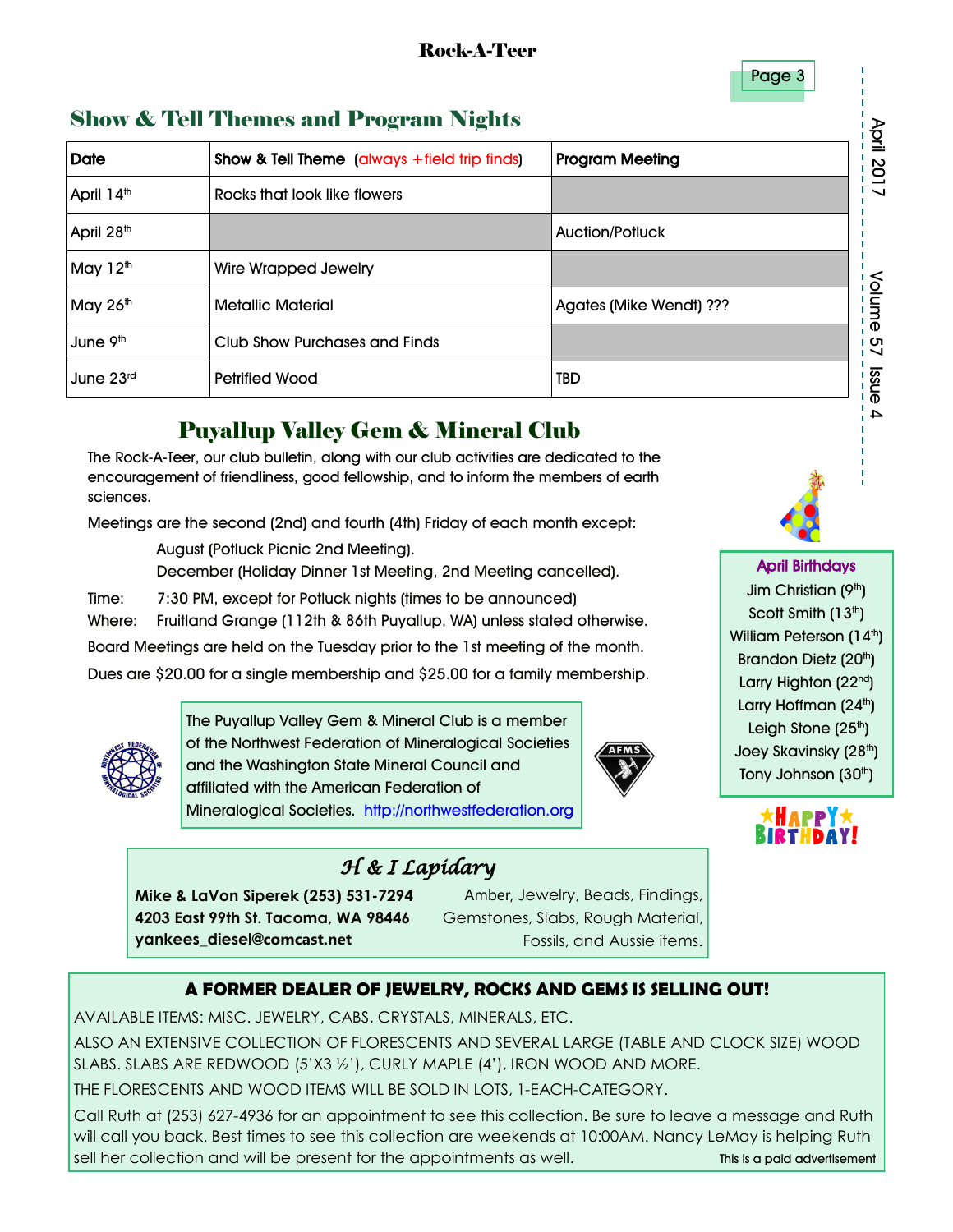Page 3

## Show & Tell Themes and Program Nights

|                              | <b>Show &amp; Tell Themes and Program Nights</b>                                                                                                                                                                                                                                                                                                                                                                                                                                                                                                                                                                             |                                                                                                                                                                                                                                                                                                                                                                                                                                                                                                                                                                                                                                                                                                                                                                                                         |                              |  |  |  |  |
|------------------------------|------------------------------------------------------------------------------------------------------------------------------------------------------------------------------------------------------------------------------------------------------------------------------------------------------------------------------------------------------------------------------------------------------------------------------------------------------------------------------------------------------------------------------------------------------------------------------------------------------------------------------|---------------------------------------------------------------------------------------------------------------------------------------------------------------------------------------------------------------------------------------------------------------------------------------------------------------------------------------------------------------------------------------------------------------------------------------------------------------------------------------------------------------------------------------------------------------------------------------------------------------------------------------------------------------------------------------------------------------------------------------------------------------------------------------------------------|------------------------------|--|--|--|--|
| <b>Date</b>                  | <b>Show &amp; Tell Theme</b> (always $+$ field trip finds)                                                                                                                                                                                                                                                                                                                                                                                                                                                                                                                                                                   | <b>Program Meeting</b>                                                                                                                                                                                                                                                                                                                                                                                                                                                                                                                                                                                                                                                                                                                                                                                  | April 2017                   |  |  |  |  |
| April 14 <sup>th</sup>       | Rocks that look like flowers                                                                                                                                                                                                                                                                                                                                                                                                                                                                                                                                                                                                 |                                                                                                                                                                                                                                                                                                                                                                                                                                                                                                                                                                                                                                                                                                                                                                                                         |                              |  |  |  |  |
| April 28 <sup>th</sup>       |                                                                                                                                                                                                                                                                                                                                                                                                                                                                                                                                                                                                                              | <b>Auction/Potluck</b>                                                                                                                                                                                                                                                                                                                                                                                                                                                                                                                                                                                                                                                                                                                                                                                  |                              |  |  |  |  |
| May $12th$                   | <b>Wire Wrapped Jewelry</b>                                                                                                                                                                                                                                                                                                                                                                                                                                                                                                                                                                                                  |                                                                                                                                                                                                                                                                                                                                                                                                                                                                                                                                                                                                                                                                                                                                                                                                         |                              |  |  |  |  |
| May 26th                     | <b>Metallic Material</b>                                                                                                                                                                                                                                                                                                                                                                                                                                                                                                                                                                                                     | Agates (Mike Wendt) ???                                                                                                                                                                                                                                                                                                                                                                                                                                                                                                                                                                                                                                                                                                                                                                                 | Volume                       |  |  |  |  |
| June 9 <sup>th</sup>         | <b>Club Show Purchases and Finds</b>                                                                                                                                                                                                                                                                                                                                                                                                                                                                                                                                                                                         |                                                                                                                                                                                                                                                                                                                                                                                                                                                                                                                                                                                                                                                                                                                                                                                                         | 27                           |  |  |  |  |
| June 23rd                    | <b>Petrified Wood</b>                                                                                                                                                                                                                                                                                                                                                                                                                                                                                                                                                                                                        | TBD                                                                                                                                                                                                                                                                                                                                                                                                                                                                                                                                                                                                                                                                                                                                                                                                     | enss                         |  |  |  |  |
| sciences.<br>Time:<br>Where: | August (Potluck Picnic 2nd Meeting).<br>and the Washington State Mineral Council and<br>affiliated with the American Federation of<br>Mineralogical Societies. http://northwestfederation.org                                                                                                                                                                                                                                                                                                                                                                                                                                | <b>Puyallup Valley Gem &amp; Mineral Club</b><br>The Rock-A-Teer, our club bulletin, along with our club activities are dedicated to the<br>encouragement of friendliness, good fellowship, and to inform the members of earth<br>Meetings are the second (2nd) and fourth (4th) Friday of each month except:<br>December (Holiday Dinner 1st Meeting, 2nd Meeting cancelled).<br>7:30 PM, except for Potluck nights (times to be announced)<br>Fruitland Grange (112th & 86th Puyallup, WA) unless stated otherwise.<br>Board Meetings are held on the Tuesday prior to the 1st meeting of the month.<br>Dues are \$20.00 for a single membership and \$25.00 for a family membership.<br>The Puyallup Valley Gem & Mineral Club is a member<br>of the Northwest Federation of Mineralogical Societies |                              |  |  |  |  |
|                              | H & I Lapídary                                                                                                                                                                                                                                                                                                                                                                                                                                                                                                                                                                                                               |                                                                                                                                                                                                                                                                                                                                                                                                                                                                                                                                                                                                                                                                                                                                                                                                         |                              |  |  |  |  |
|                              | Mike & LaVon Siperek (253) 531-7294                                                                                                                                                                                                                                                                                                                                                                                                                                                                                                                                                                                          | Amber, Jewelry, Beads, Findings,                                                                                                                                                                                                                                                                                                                                                                                                                                                                                                                                                                                                                                                                                                                                                                        |                              |  |  |  |  |
|                              | 4203 East 99th St. Tacoma, WA 98446<br>yankees_diesel@comcast.net                                                                                                                                                                                                                                                                                                                                                                                                                                                                                                                                                            | Gemstones, Slabs, Rough Material,<br>Fossils, and Aussie items.                                                                                                                                                                                                                                                                                                                                                                                                                                                                                                                                                                                                                                                                                                                                         |                              |  |  |  |  |
|                              |                                                                                                                                                                                                                                                                                                                                                                                                                                                                                                                                                                                                                              |                                                                                                                                                                                                                                                                                                                                                                                                                                                                                                                                                                                                                                                                                                                                                                                                         |                              |  |  |  |  |
|                              | A FORMER DEALER OF JEWELRY, ROCKS AND GEMS IS SELLING OUT!                                                                                                                                                                                                                                                                                                                                                                                                                                                                                                                                                                   |                                                                                                                                                                                                                                                                                                                                                                                                                                                                                                                                                                                                                                                                                                                                                                                                         |                              |  |  |  |  |
|                              | AVAILABLE ITEMS: MISC. JEWELRY, CABS, CRYSTALS, MINERALS, ETC.<br>ALSO AN EXTENSIVE COLLECTION OF FLORESCENTS AND SEVERAL LARGE (TABLE AND CLOCK SIZE) WOOD<br>SLABS. SLABS ARE REDWOOD $(5'X3'2')$ , CURLY MAPLE $(4')$ , IRON WOOD AND MORE.<br>THE FLORESCENTS AND WOOD ITEMS WILL BE SOLD IN LOTS, 1-EACH-CATEGORY.<br>Call Ruth at (253) 627-4936 for an appointment to see this collection. Be sure to leave a message and Ruth<br>will call you back. Best times to see this collection are weekends at 10:00AM. Nancy LeMay is helping Ruth<br>sell her collection and will be present for the appointments as well. |                                                                                                                                                                                                                                                                                                                                                                                                                                                                                                                                                                                                                                                                                                                                                                                                         | This is a paid advertisement |  |  |  |  |

## Puyallup Valley Gem & Mineral Club



## *H & I Lapidary*

#### **A FORMER DEALER OF JEWELRY, ROCKS AND GEMS IS SELLING OUT!**

Call Ruth at (253) 627-4936 for an appointment to see this collection. Be sure to leave a message and Ruth will call you back. Best times to see this collection are weekends at 10:00AM. Nancy LeMay is helping Ruth

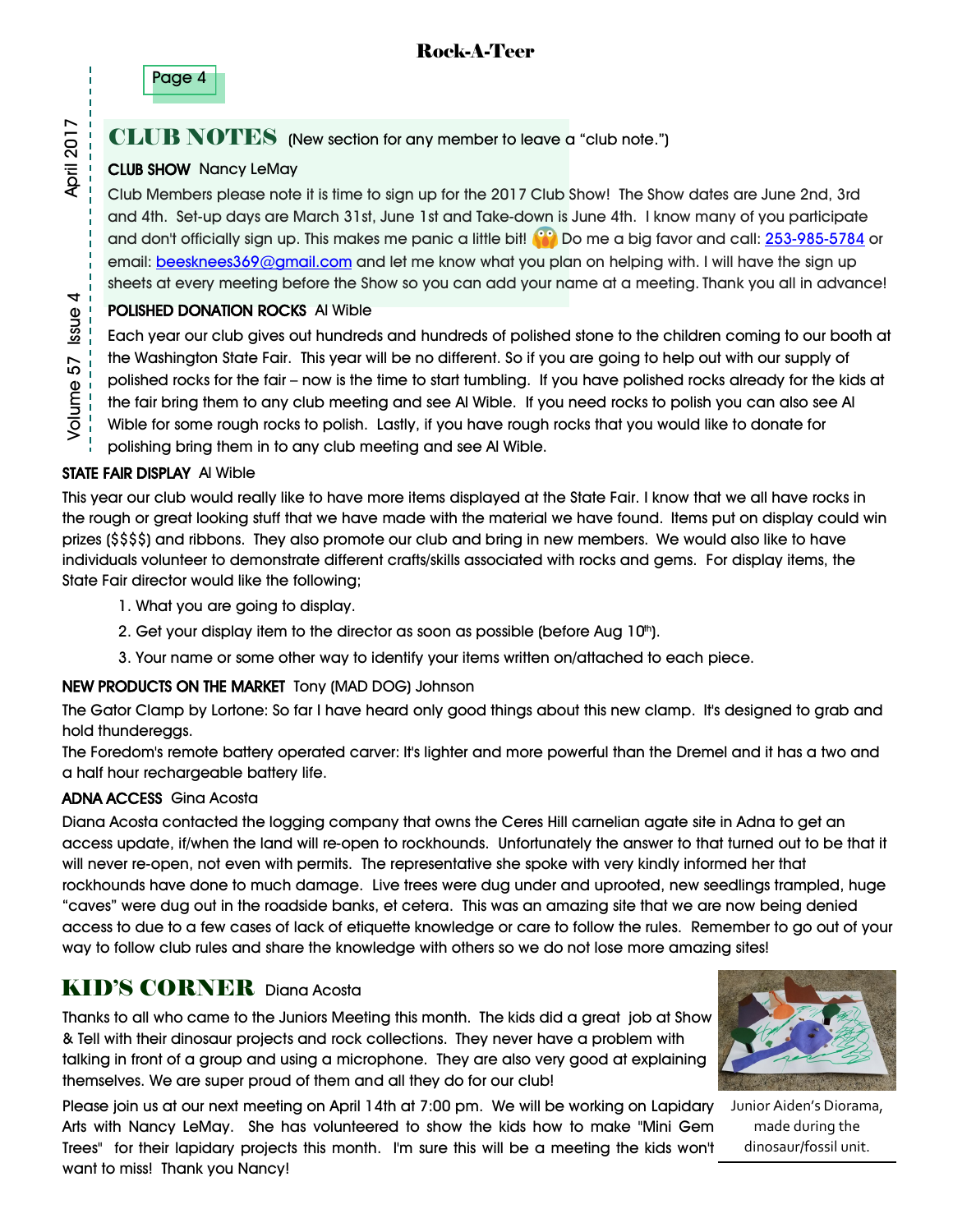

### CLUB NOTES (New section for any member to leave a "club note.")

#### CLUB SHOW Nancy LeMay

Club Members please note it is time to sign up for the 2017 Club Show! The Show dates are June 2nd, 3rd and 4th. Set-up days are March 31st, June 1st and Take-down is June 4th. I know many of you participate and don't officially sign up. This makes me panic a little bit! **(iii)** Do me a big favor and call: [253-985-5784](tel:(253)%20985-5784) or email: [beesknees369@gmail.com](mailto:beesknees369@gmail.com) and let me know what you plan on helping with. I will have the sign up sheets at every meeting before the Show so you can add your name at a meeting. Thank you all in advance!

#### POLISHED DONATION ROCKS Al Wible

Each year our club gives out hundreds and hundreds of polished stone to the children coming to our booth at the Washington State Fair. This year will be no different. So if you are going to help out with our supply of polished rocks for the fair – now is the time to start tumbling. If you have polished rocks already for the kids at the fair bring them to any club meeting and see Al Wible. If you need rocks to polish you can also see Al Wible for some rough rocks to polish. Lastly, if you have rough rocks that you would like to donate for polishing bring them in to any club meeting and see Al Wible.

#### STATE FAIR DISPLAY Al Wible

This year our club would really like to have more items displayed at the State Fair. I know that we all have rocks in the rough or great looking stuff that we have made with the material we have found. Items put on display could win prizes (\$\$\$\$) and ribbons. They also promote our club and bring in new members. We would also like to have individuals volunteer to demonstrate different crafts/skills associated with rocks and gems. For display items, the State Fair director would like the following;

- 1. What you are going to display.
- 2. Get your display item to the director as soon as possible (before Aug  $10<sup>th</sup>$ ).
- 3. Your name or some other way to identify your items written on/attached to each piece.

#### NEW PRODUCTS ON THE MARKET Tony (MAD DOG) Johnson

The Gator Clamp by Lortone: So far I have heard only good things about this new clamp. It's designed to grab and hold thundereggs.

The Foredom's remote battery operated carver: It's lighter and more powerful than the Dremel and it has a two and a half hour rechargeable battery life.

#### ADNA ACCESS Gina Acosta

Diana Acosta contacted the logging company that owns the Ceres Hill carnelian agate site in Adna to get an access update, if/when the land will re-open to rockhounds. Unfortunately the answer to that turned out to be that it will never re-open, not even with permits. The representative she spoke with very kindly informed her that rockhounds have done to much damage. Live trees were dug under and uprooted, new seedlings trampled, huge "caves" were dug out in the roadside banks, et cetera. This was an amazing site that we are now being denied access to due to a few cases of lack of etiquette knowledge or care to follow the rules. Remember to go out of your way to follow club rules and share the knowledge with others so we do not lose more amazing sites!

### KID'S CORNER Diana Acosta

Thanks to all who came to the Juniors Meeting this month. The kids did a great job at Show & Tell with their dinosaur projects and rock collections. They never have a problem with talking in front of a group and using a microphone. They are also very good at explaining themselves. We are super proud of them and all they do for our club!

Please join us at our next meeting on April 14th at 7:00 pm. We will be working on Lapidary Arts with Nancy LeMay. She has volunteered to show the kids how to make "Mini Gem Trees" for their lapidary projects this month. I'm sure this will be a meeting the kids won't want to miss! Thank you Nancy!



Junior Aiden's Diorama, made during the dinosaur/fossil unit.

**April 2017**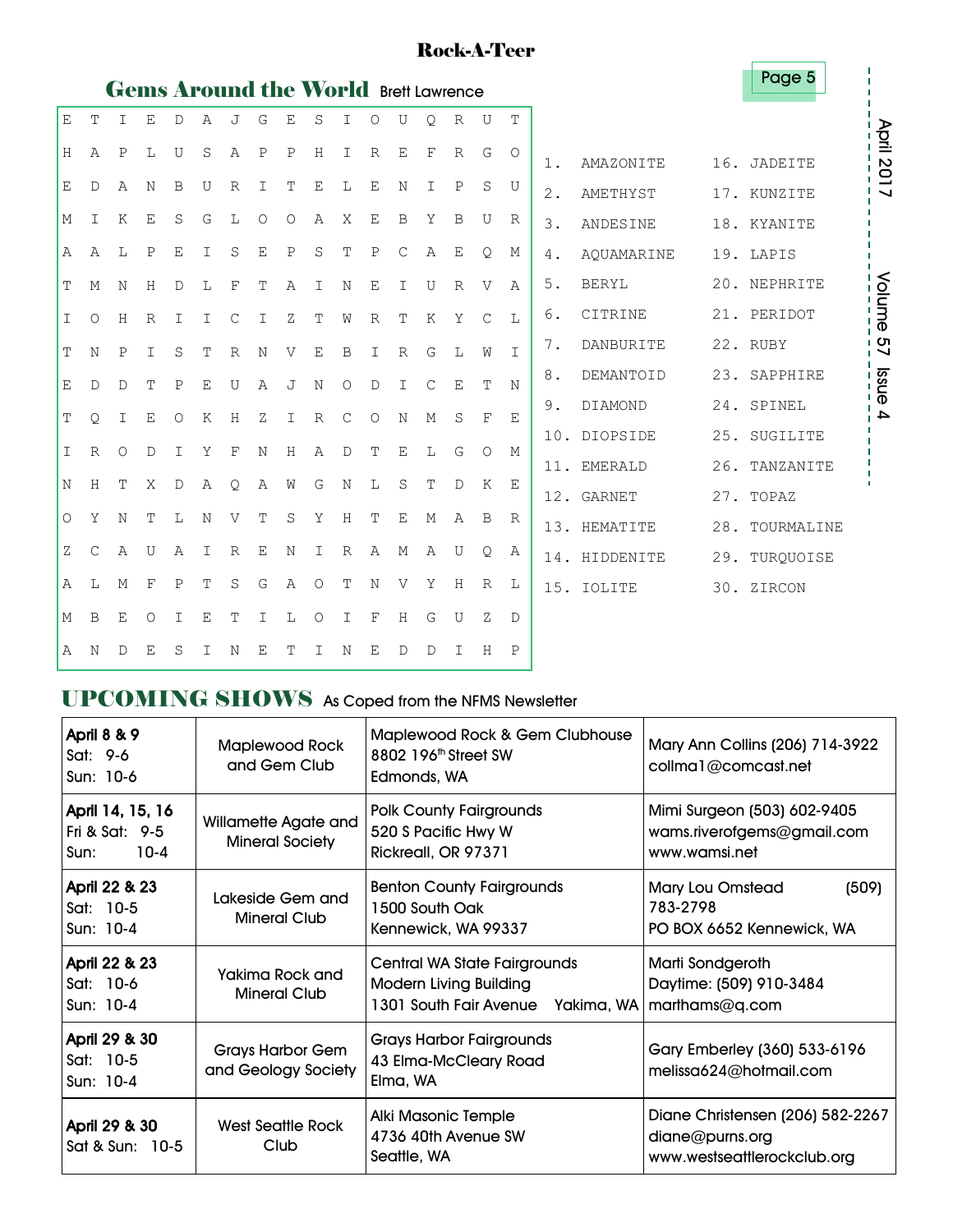### Rock-A-Teer

|                |              |              |              |               |                |                |               | <b>Gems Around the World Brett Lawrence</b> |              |               |              |              |               |              |                |              |       |               | ı uyu v        |
|----------------|--------------|--------------|--------------|---------------|----------------|----------------|---------------|---------------------------------------------|--------------|---------------|--------------|--------------|---------------|--------------|----------------|--------------|-------|---------------|----------------|
| E              | T            | $\top$       | E.           | D             | $\overline{A}$ | $\overline{J}$ | G             | $\mathbf{E}% _{t}$                          | S            | $\top$        | $\circ$      | U            | $\circ$       | $\mathbb{R}$ | U              | T            |       |               |                |
| H              | Α            | $\mathbf P$  | L            | U             | S              | A              | $\mathbf P$   | $\mathbf P$                                 | H            | $\mathbf I$   | $\mathbb{R}$ | E            | F             | R            | G              | $\circ$      | $1$ . | AMAZONITE     | 16. JADEITE    |
| Ε              | D            | Α            | $\mathbb N$  | B             | U              | $\mathbb{R}$   | $\mathbf I$   | T                                           | $\mathbf E$  | L             | $\mathbf E$  | N            | $\mathbf I$   | $\mathbf P$  | S              | U            | $2$ . | AMETHYST      | 17. KUNZITE    |
| М              | $\mathbf I$  | K            | Ε            | S             | G              | L              | $\circ$       | $\circ$                                     | Α            | X             | Ε            | B            | Y             | B            | U              | R            | 3.    | ANDESINE      | 18. KYANITE    |
| Α              | $\mathsf{A}$ | L            | $\mathbf P$  | $\mathbf E$   | $\mathbf I$    | S              | $\mathbf E$   | $\mathbf P$                                 | S            | T             | $\mathbf P$  | $\mathsf{C}$ | Α             | Ε            | Q              | М            | 4.    | AQUAMARINE    | 19. LAPIS      |
| Т              | M            | N            | H            | $\mathbb D$   | L              | F              | T             | A                                           | T            | $\mathbb N$   | $\mathbf E$  | $\mathbb{I}$ | U             | R            | $\mathbf{V}$   | $\mathbb{A}$ | 5.    | <b>BERYL</b>  | 20. NEPHRITE   |
| I              | $\circ$      | H            | $\mathbb{R}$ | $\mathbbm{I}$ | I              | $\mathsf{C}$   | $\mathbbm{1}$ | Ζ                                           | Т            | W             | $\mathbb{R}$ | $\mathbf T$  | K             | Y            | $\mathcal{C}$  | $T_{\rm L}$  | 6.    | CITRINE       | 21. PERIDOT    |
| T              | N            | $\mathbf{P}$ | T.           | S             | T              | $\mathbb{R}$   | N             | V                                           | Ε            | B             | I            | $\mathbb{R}$ | G             | $T_{\rm L}$  | W              | $\top$       | 7.    | DANBURITE     | 22. RUBY       |
| Ε              | $\mathbb{D}$ | $\mathbb{D}$ | T            | $\mathbf{P}$  | Ε              | U              | $\mathbb{A}$  | J                                           | N            | $\Omega$      | D            | I            | $\mathcal{C}$ | E            | T              | N            | 8.    | DEMANTOID     | 23. SAPPHIRE   |
| T              | $\circ$      | T            | E            | $\Omega$      | K              | H              | Z             | $\mathbf I$                                 | $\mathbb{R}$ | $\mathcal{C}$ | $\circ$      | N            | M             | S            | $_{\rm F}$     | F.           | 9.    | DIAMOND       | 24. SPINEL     |
| I              | $\mathbb{R}$ | $\Omega$     | $\mathbb{D}$ | $\mathbb{I}$  | Y              | $_{\rm F}$     | N             | H                                           | $\mathbb{A}$ | $\mathbb{D}$  | T            | E            | L             | G            | $\Omega$       | М            |       | 10. DIOPSIDE  | 25. SUGILITE   |
|                |              |              |              |               |                |                |               |                                             |              |               |              |              |               |              |                |              |       | 11. EMERALD   | 26. TANZANITE  |
| N              | H            | T            | X            | $\mathbb D$   | Α              | Q.             | Α             | W                                           | G            | N             | L            | S            | T             | $\mathbb{D}$ | K              | E            |       | 12. GARNET    | 27. TOPAZ      |
| $\circ$        | Y            | N            | T            | L             | N              | V              | T             | S                                           | Υ            | H             | T            | E            | $M_{\odot}$   | $\mathbb{A}$ | $\overline{B}$ | R            |       | 13. HEMATITE  | 28. TOURMALINE |
| Ζ              | $\mathsf{C}$ | Α            | U            | Α             | I              | $\mathbb R$    | $\mathbf E$   | N                                           | $\mathbf I$  | $\mathbb R$   | Α            | М            | Α             | U            | Q              | Α            |       | 14. HIDDENITE | 29. TURQUOISE  |
| $\overline{A}$ | L            | M            | $_{\rm F}$   | $\mathbf{P}$  | T              | S              | G             | $\mathbb{A}$                                | $\circ$      | $\mathbf T$   | N            | V            | Υ             | H            | R              | L            |       | 15. IOLITE    | 30. ZIRCON     |
| М              | B            | Ε            | $\circ$      | $\mathbf I$   | $\mathbf E$    | T              | $\mathbbm{1}$ | L                                           | $\circ$      | $\mathbf I$   | $\mathbf{F}$ | H            | G             | U            | Ζ              | D            |       |               |                |
| $\overline{A}$ | N            | D            | F.           | S             | T              | N              | $F_{\rm c}$   | T                                           | Ι            | N             | E            | D            | $\mathbb{D}$  | $\mathbb{I}$ | H              | $\mathbf P$  |       |               |                |

## UPCOMING SHOWS As Coped from the NFMS Newsletter

| <b>April 8 &amp; 9</b><br>Sat: 9-6<br>Sun: 10-6      | <b>Maplewood Rock</b><br>and Gem Club          | Maplewood Rock & Gem Clubhouse<br>8802 196 <sup>th</sup> Street SW<br>Edmonds, WA                                   | Mary Ann Collins (206) 714-3922<br>collma1@comcast.net                             |
|------------------------------------------------------|------------------------------------------------|---------------------------------------------------------------------------------------------------------------------|------------------------------------------------------------------------------------|
| April 14, 15, 16<br>Fri & Sat: 9-5<br>$10-4$<br>Sun: | Willamette Agate and<br><b>Mineral Society</b> | <b>Polk County Fairgrounds</b><br>520 S Pacific Hwy W<br>Rickreall, OR 97371                                        | Mimi Surgeon (503) 602-9405<br>wams.riverofgems@gmail.com<br>www.wamsi.net         |
| April 22 & 23<br>Sat: 10-5<br>Sun: 10-4              | Lakeside Gem and<br><b>Mineral Club</b>        | <b>Benton County Fairgrounds</b><br>1500 South Oak<br>Kennewick, WA 99337                                           | (509)<br><b>Mary Lou Omstead</b><br>783-2798<br>PO BOX 6652 Kennewick, WA          |
| April 22 & 23<br>Sat: 10-6<br>Sun: 10-4              | Yakima Rock and<br><b>Mineral Club</b>         | Central WA State Fairgrounds<br><b>Modern Living Building</b><br>1301 South Fair Avenue Yakima, WA   marthams@q.com | Marti Sondgeroth<br>Daytime: (509) 910-3484                                        |
| April 29 & 30<br>Sat: 10-5<br>Sun: 10-4              | <b>Grays Harbor Gem</b><br>and Geology Society | <b>Grays Harbor Fairgrounds</b><br>43 Elma-McCleary Road<br>Elma, WA                                                | Gary Emberley (360) 533-6196<br>melissa624@hotmail.com                             |
| April 29 & 30<br>Sat & Sun: 10-5                     | West Seattle Rock<br>Club                      | Alki Masonic Temple<br>4736 40th Avenue SW<br>Seattle, WA                                                           | Diane Christensen (206) 582-2267<br>diane@purns.org<br>www.westseattlerockclub.org |

April 2017<br>-----------April 2017

Volume 57 Issue 4 Volume 57 Issue 4